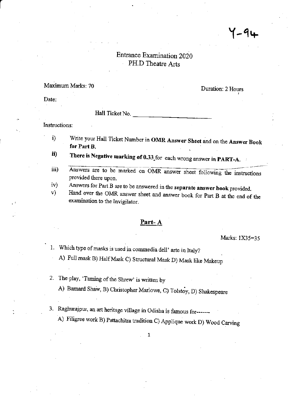# Entrance Examination 2020 PH.D Theatre Arts

## Maximum Marks: 70

Duration: 2 Hours

 $-91$ 

Date:

### Hall Ticket No.

Instructions:

- Write your Hall Ticket Number in OMR Answer Sheet and on the Answer Book i) for Part B.
- There is Negative marking of 0.33 for each wrong answer in PART-A. ii)
- Answers are to be marked on OMR answer sheet following the instructions iii) provided there upon.
- Answers for Part B are to be answered in the separate answer book provided.  $iv)$
- Hand over the OMR answer sheet and answer book for Part B at the end of the V) examination to the Invigilator.

## <u>Part-A</u>

Marks: 1X35=35

1. Which type of masks is used in commedia dell' arte in Italy?

A) Full mask B) Half Mask C) Structural Mask D) Mask like Makeup

2. The play, 'Taming of the Shrew' is written by

A) Barnard Shaw, B) Christopher Marlowe, C) Tolstoy, D) Shakespeare

- 3. Raghurajpur, an art heritage village in Odisha is famous for-------
	- A) Filigree work B) Pattachitra tradition C) Applique work D) Wood Carving

 $\mathbf{1}$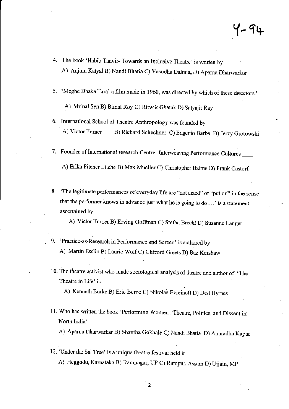$4 - 94$ 

- 4. The book 'Habib Tanvir- Towards an Inclusive Theatre' is written by A) Anjum Katyal B) Nandi Bhatia C) Vasudha Dalmia, D) Aparna Dharwarkar
- 5. 'Meghe Dhaka Tara' a film made in 1960, was directed by which of these directors?

A) Mrinal Sen B) Bimal Roy C) Ritwik chatak D) Satyajit Ray

6. Intemational School of Theatre Anthropology was founded by A) Victor Turner B) Richard Schechner C) Eugenio Barba D) Jerzy Grotowski

7. Founder of International research Centre- Interweaving Performance Cultures

A) Erika Fitcher Litche B) Max Mueller C) Christopher Balme D) Frank Castorf

8. 'The legitimate performances of everyday life are "not acted" or "put on" in the sense that the performer knows in advance just what he is going to do....' is a statement ascertained by

A) Victor Tumer B) Ewing coffiran C) Stefan Brecht D) Susanne Langer

- 9. 'Practice-as-Research in Performance and Screen' is authored by A) Martin Esslin B) Laurie Wolf C) Clifford Greets D) Baz Kershaw.
- 10. The theatre activist who made sociological analysis of theatre and author of 'The Theatre in Life' is

A) Kenneth Burke B) Eric Berne C) Nikola's Evreinoff D) Dell Hymes

11. Who has written the book 'Performing Women : Theatre, Politics, and Dissent in North India'

A) Apama Dharwarkar B) Shantha Gokhale C) Nandi Bhatia D) Anuradha Kapur

12. 'Urder the Sal Tree' is a unique theatre festival held in A) Heggodu, Karnataka B) Ramnagar, UP C) Rampur, Assam D) Ujjain, MP

 $\overline{2}$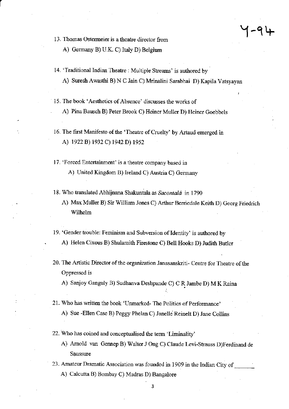13. Thomas Ostermeier is a theatre director from

A) Germany B) U.K. C) Italy D) Belgium

- 14. 'Traditional Indian Theatre : Multiple Streams' is authored by
	- A) Suesh Awasthi B) N C Jain C) Mrinalini Sarabhai D) Kapila Vatsyayan
- 15. The book 'Aesthetics of Absence' discusses the works of

A) Pina Bausch B) Peter Brook C) Heiner Muller D) Heiner Goebbels

- 16. The first Manifesto of the 'Theatre of Cruelty' by Artaud emerged in A) 1922 B) 1932 C) 1942 D) 1952
- 17. 'Forced Entertainment' is a theatre company based in A) United Kingdom B) Ireland C) Austria C) Germany
- 18. Who translated Abhijnana Shakuntala as Sacontalá in 1790
	- A) Max Muller B) Sir William Jones C) Arthur Berriedale Keith D) Georg Friedrich Wilhelm
- 19. 'Gender trouble: Feminism and Subversion of Identity' is authored by . A) Helen Cixous B) Shulamith Firestone C) Bell Hooks D) Judith Butler
- 20. The Artistic Director of the organization Janasanskriti- Centre for Theatre of the Oppressed is

A) Saajoy Ganguly B) Sudhanva Deshpande C) C R Jambe D) M K Raina ;'

- 21. Who has written the book 'Unmarked-The Politics of Performance' A) Sue -Ellen Case B) Peggy Phelan C) Janelle Reinelt D) Jane Collins
- 22. Who has coined and conceptualised the term 'Liminality'
	- A) Amold van Gennep B) Walter J Ong C) Claude Levi-Stauss D)Ferdinand de Saussure
- 23. Amateur Dramatic Association was founded in 1909 in the Indiaa City of A) Calcutta B) Bombay C) Madras D) Bangalore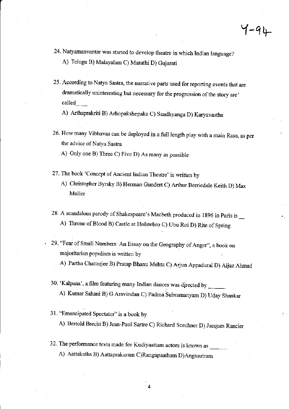- 24. Natyamanvantar was started to develop theatre in which Indian language? A) Telugu B) Malayalam C) Marathi D) Gujarati
- 25. According to Natya Sastra, the narrative parts used for reporting events that are dramatically uninteresting but necessary for the progression of the story are called\_

A) Arthaprakriti B) Arhopakshepaka C) Sandhyanga D) Karyavastha

26. How many Vibhavas can be deployed in a full length play with a main Rasa, as per the advice of Natya Sastra

A) Only one B) Three C) Five D) As many as possible

- 27. The book 'Concept of Ancient Indian Theatre' is written by
	- A) Christopher Byrsky B) Herman Gundert C) Arthur Berriedale Keith D) Max Muller
- 28. A scandalous parody of Shakespeare's Macbeth produced in 1896 in Paris is A) Throne of Blood B) Castle at Holstebro C) Ubu Roi D) Rite of Spring
- 29. "Fear of Small Numbers: An Essay on the Geography of Anger", a book on majoritarian populism is written by

A) Partha Chatrerjee B) pratap Bhanu Mehta C) Arjm Appadurai D) Aijaz Alrmad

- 30. 'Kalpana', a film featuring many Indian dances was directed by A) Kumar Sahani B) G Aravindan C) Padma Subramanyam D) Uday Shankar
- 31. "Emancipated Spectator" is a book by
	- A) Bertold Brecht B) Jean-paul Sartre C) Richard Scechner D) Jacques Rancier

4

32. The performance texts made for Kudiyaattam actors is known as A) Aattakatha B) Aattaprakaram C)Rangapaatham D)Angasutrarn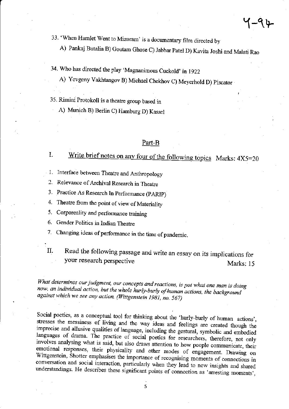33. 'When Hamlet Went to Mizoram' is a documentary film directed by

A) Pankaj Butalia B) Goutam Ghose C) Jabbar Patel D) Kavita Joshi and Malati Rao

34. Who has directed the play 'Magnanimous Cuckold' in 1922

A) Yevgeny Vakhtangov B) Michael Chekhov C) Meyerhold D) Piscator

- 35. Rimini Protokoll is a theatre group based in
	- A) Munich B) Berlin C) Hamburg D) Kassel

#### Part-B

#### Write brief notes on any four of the following topics Marks: 4X5=20 L.

- 1. Interface between Theatre and Anthropology
- Relevance of Archival Research in Theatre  $2^{+}$
- 3. Practice As Research In Performance (PARIP)
- 4. Theatre from the point of view of Materiality
- 5. Corporeality and performance training
- 6. Gender Politics in Indian Theatre
- 7. Changing ideas of performance in the time of pandemic.
- $\Pi$ .

Read the following passage and write an essay on its implications for your research perspective Marks: 15

What determines our judgment, our concepts and reactions, is not what one man is doing now, an individual action, but the whole hurly-burly of human actions, the background against which we see any action. (Wittgenstein 1981, no. 567)

Social poetics, as a conceptual tool for thinking about the 'hurly-burly of human actions', stresses the messiness of living and the way ideas and feelings are created though the imprecise and allusive qualities of language, including the gestural, symbolic and embodied languages of drama. The practice of social poetics for researchers, therefore, not only involves analysing what is said, but also draws attention to how people communicate, their emotional responses, their physicality and other modes of engagement. Drawing on Wittgenstein, Shotter emphasises the importance of recognising moments of connections in conversation and social interaction, particularly when they lead to new insights and shared understandings. He describes these significant points of connection as 'arresting moments',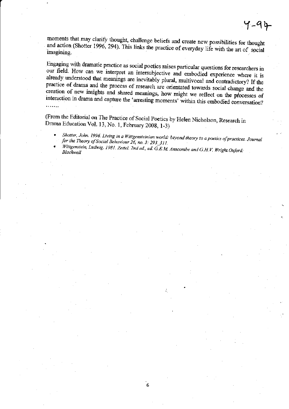moments that may clarify thought, challenge beliefs and create new possibilities for thought and action (Shotter 1996, 294). This links the practice of everyday life with the art of social imagining.

Engaging with dramatic practice as social poetics raises particular questions for researchers in our field. How can we interpret an intersubjective and embodied experience where it is already understood that meanings are inevitably plural, multivocal and contradictory? If the practice of drama and the process of research are orientated towards social change and the creation of new insights and shared meanings, how might we reflect on the processes of interaction in drama and capture the 'arresting moments' within this embodied conversation? . . . . . . .

(From the Editorial on The Practice of Social Poetics by Helen Nicholson, Research in Drama Education Vol. 13, No. 1, February 2008, 1-3)

- Shotter, John. 1996. Living in a Wittgensteinian world: beyond theory to a poetics of practices. Journal  $\bullet$
- for the Theory of Social Behaviour 26, no. 3: 293\_311.
- Wittgenstein, Ludwig. 1981. Zettel. 2nd ed., ed. G.E.M. Anscombe and G.H.V. Wright.Oxford: Blackwell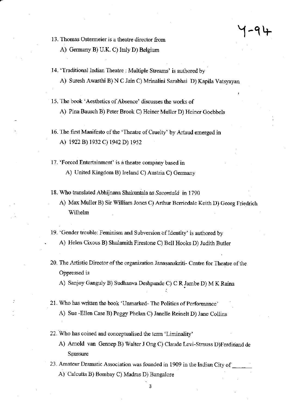- 13. Thomas Ostermeier is a theatre director from
	- A) Germany B) U.K. C) Italy D) Belgium
- 14. 'Traditional Indian Theatre : Multiple Streams' is authored by A) Suresh Awasthi B) N C Jain C) Mrinalini Sarabhai D) Kapila Vatsyayan
- 15. The book 'Aesthetics of Absence' discusses the works of A) Pina Bausch B) Peter Brook C) Heiner Muller D) Heiner Goebbels
- 16. The first Manifesto of the 'Theatre of Cruelty' by Artaud emerged in A) 1922 B) 1932 C) 1942 D) 1952
- 17. 'Forced Entertainment' is a theatre company based in A) United Kingdom B) Ireland C) Austria C) Germany
- 18. Who translated Abhijnana Shakuntala as Sacontalá in 1790
	- A) Max Muller B) Sir William Jones C) Arthur Berriedale Keith D) Georg Friedrich Wilhelm
- 19. 'Gender trouble: Feminism and Subversion of Identity' is authored by A) Helen Cixous B) Shulamith Firestone C) Bell Hooks D) Judith Butler
- 20. The Artistic Director of the organization Janasanskriti- Centre for Theatre of the Oppressed is
	- A) Sanjoy Ganguly B) Sudhanva Deshpande C) C R Jambe D) M K Raina
- 21. Who has written the book 'Unmarked-The Politics of Performance' A) Sue -Ellen Case B) Peggy Phelan C) Janelle Reinelt D) Jane Collins
- 22. Who has coined and conceptualised the term 'Liminality'
	- A) Arnold van Gennep B) Walter J Ong C) Claude Levi-Strauss D)Ferdinand de Saussure
- 23. Amateur Dramatic Association was founded in 1909 in the Indian City of A) Calcutta B) Bombay C) Madras D) Bangalore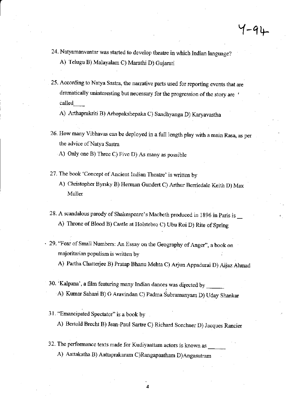- 24. Natyamanvantar was started to develop theatre in which Indian language? A) Telugu B) Malayalam C) Marathi D) Gujarati
- 25. According to Natya Sastra, the narrative parts used for reporting events that are dramatically uninteresting but necessary for the progression of the story are called\_

A) Arthaprakriti B) Arhopakshepaka C) Sandhyanga D) Karyavastha

26. How many Vibhavas can be deployed in a full length play with a main Rasa, as per the advice of Natya Sastra

A) Only one B) Three C) Five D) As many as possible

- 27. The book 'Concept of Ancient Indian Theatre' is written by
	- A) Christopher Byrsky B) Herman Gundert C) Arthur Berriedale Keith D) Max Muller
- 28. A scandalous parody of Shakespeare's Macbeth produced in 1896 in Paris is A) Throne of Blood B) Castle at Holstebro C) Ubu Roi D) Rite of Spring
- . 29. "Fear of Small Numbers: An Essay on the Geography of Anger", a book on majoritarian populism is written by
	- A) Partha Chatterjee B) pratap Bhanu Mehta C) Arjun Appadurai D) Aijaz Ahmad
	- 30. 'Kalpana', a film featuring many Indian dances was directed by A) Kumar Sahani B) G Aravindan C) Padma Subramanyam D) Uday Shankar
	- 31. "Emancipated Spectator" is a book by

A) Bertold Brecht B) Jean-Paul Sartre C) Richard Scechner D) Jacques Rancier

4

32. The performance texts made for Kudiyaattam actors is known as A) Aattakatha B) Aattaprakaram C)Rangapaatham D)Angasutram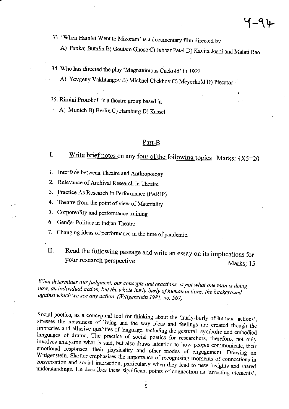33. 'When Hamlet Went to Mizoram' is a documentary film directed by

A) Pankaj Butalia B) Goutam Ghose C) Jabbar Patel D) Kavita Joshi and Malati Rao

34. Who has directed the play 'Magnanimous Cuckold' in 1922

A) Yevgeny Vakhtangov B) Michael Chekhov C) Meyerhold D) Piscator

- 35. Rimini Protokoll is a theatre group based in
	- A) Munich B) Berlin C) Hamburg D) Kassel

# Part-B

#### Write brief notes on any four of the following topics Marks: 4X5=20 I.

- 1. Interface between Theatre and Anthropology
- Relevance of Archival Research in Theatre  $2.$
- 3. Practice As Research In Performance (PARIP)
- 4. Theatre from the point of view of Materiality
- 5. Corporeality and performance training
- 6. Gender Politics in Indian Theatre
- 7. Changing ideas of performance in the time of pandemic.
- Read the following passage and write an essay on its implications for  $\Pi$ . your research perspective Marks: 15

What determines our judgment, our concepts and reactions, is not what one man is doing now, an individual action, but the whole hurly-burly of human actions, the background against which we see any action. (Wittgenstein 1981, no. 567)

Social poetics, as a conceptual tool for thinking about the 'hurly-burly of human actions', stresses the messiness of living and the way ideas and feelings are created though the imprecise and allusive qualities of language, including the gestural, symbolic and embodied languages of drama. The practice of social poetics for researchers, therefore, not only involves analysing what is said, but also draws attention to how people communicate, their emotional responses, their physicality and other modes of engagement. Drawing on Wittgenstein, Shotter emphasises the importance of recognising moments of connections in conversation and social interaction, particularly when they lead to new insights and shared understandings. He describes these significant points of connection as 'arresting moments',